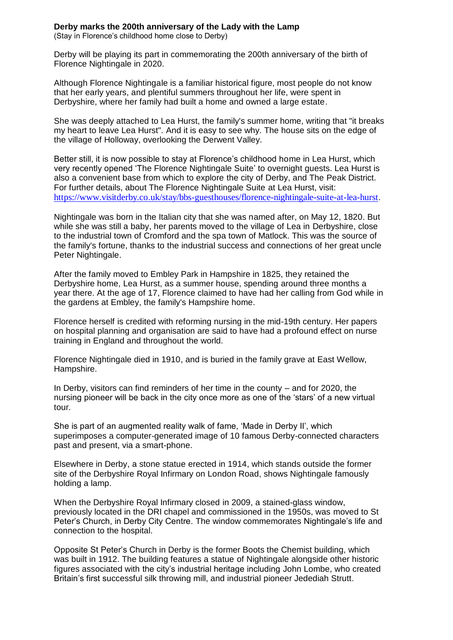## **Derby marks the 200th anniversary of the Lady with the Lamp** (Stay in Florence's childhood home close to Derby)

Derby will be playing its part in commemorating the 200th anniversary of the birth of Florence Nightingale in 2020.

Although Florence Nightingale is a familiar historical figure, most people do not know that her early years, and plentiful summers throughout her life, were spent in Derbyshire, where her family had built a home and owned a large estate.

She was deeply attached to Lea Hurst, the family's summer home, writing that "it breaks my heart to leave Lea Hurst". And it is easy to see why. The house sits on the edge of the village of Holloway, overlooking the Derwent Valley.

Better still, it is now possible to stay at Florence's childhood home in Lea Hurst, which very recently opened 'The Florence Nightingale Suite' to overnight guests. Lea Hurst is also a convenient base from which to explore the city of Derby, and The Peak District. For further details, about The Florence Nightingale Suite at Lea Hurst, visit: <https://www.visitderby.co.uk/stay/bbs-guesthouses/florence-nightingale-suite-at-lea-hurst>.

Nightingale was born in the Italian city that she was named after, on May 12, 1820. But while she was still a baby, her parents moved to the village of Lea in Derbyshire, close to the industrial town of Cromford and the spa town of Matlock. This was the source of the family's fortune, thanks to the industrial success and connections of her great uncle Peter Nightingale.

After the family moved to Embley Park in Hampshire in 1825, they retained the Derbyshire home, Lea Hurst, as a summer house, spending around three months a year there. At the age of 17, Florence claimed to have had her calling from God while in the gardens at Embley, the family's Hampshire home.

Florence herself is credited with reforming nursing in the mid-19th century. Her papers on hospital planning and organisation are said to have had a profound effect on nurse training in England and throughout the world.

Florence Nightingale died in 1910, and is buried in the family grave at East Wellow, Hampshire.

In Derby, visitors can find reminders of her time in the county – and for 2020, the nursing pioneer will be back in the city once more as one of the 'stars' of a new virtual tour.

She is part of an augmented reality walk of fame, 'Made in Derby II', which superimposes a computer-generated image of 10 famous Derby-connected characters past and present, via a smart-phone.

Elsewhere in Derby, a stone statue erected in 1914, which stands outside the former site of the Derbyshire Royal Infirmary on London Road, shows Nightingale famously holding a lamp.

When the Derbyshire Royal Infirmary closed in 2009, a stained-glass window, previously located in the DRI chapel and commissioned in the 1950s, was moved to St Peter's Church, in Derby City Centre. The window commemorates Nightingale's life and connection to the hospital.

Opposite St Peter's Church in Derby is the former Boots the Chemist building, which was built in 1912. The building features a statue of Nightingale alongside other historic figures associated with the city's industrial heritage including John Lombe, who created Britain's first successful silk throwing mill, and industrial pioneer Jedediah Strutt.